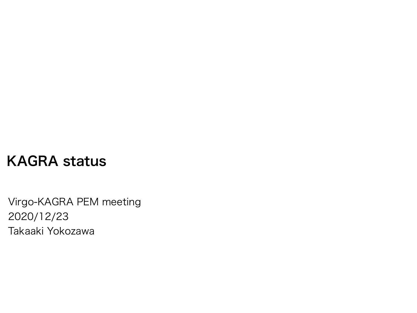#### KAGRA status

Virgo-KAGRA PEM meeting 2020/12/23 Takaaki Yokozawa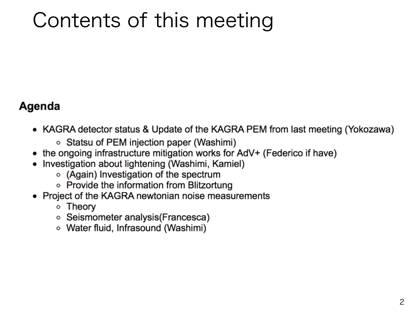# Contents of this meeting

#### Agenda

- KAGRA detector status & Update of the KAGRA PEM from last meeting (Yokozawa)
	- Statsu of PEM injection paper (Washimi)
- the ongoing infrastructure mitigation works for AdV+ (Federico if have)
- Investigation about lightening (Washimi, Kamiel)
	- (Again) Investigation of the spectrum
	- Provide the information from Blitzortung
- Project of the KAGRA newtonian noise measurements
	- Theory
	- Seismometer analysis(Francesca)
	- Water fluid, Infrasound (Washimi)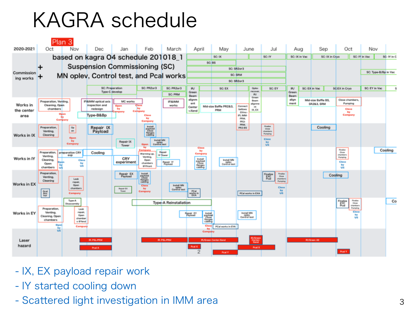## KAGRA schedule



- IX, EX payload repair work
- IY started cooling down
- Scattered light investigation in IMM area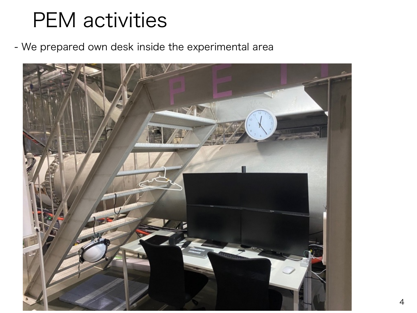## PEM activities

- We prepared own desk inside the experimental area

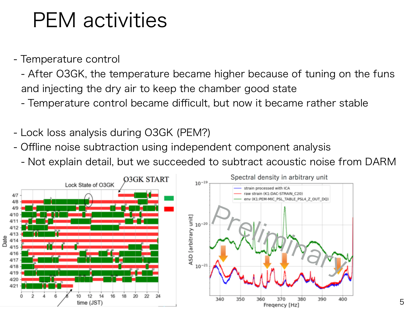### PEM activities

- Temperature control
	- After O3GK, the temperature became higher because of tuning on the funs and injecting the dry air to keep the chamber good state
	- Temperature control became difficult, but now it became rather stable
- Lock loss analysis during O3GK (PEM?)
- Offline noise subtraction using independent component analysis
	- Not explain detail, but we succeeded to subtract acoustic noise from DARM